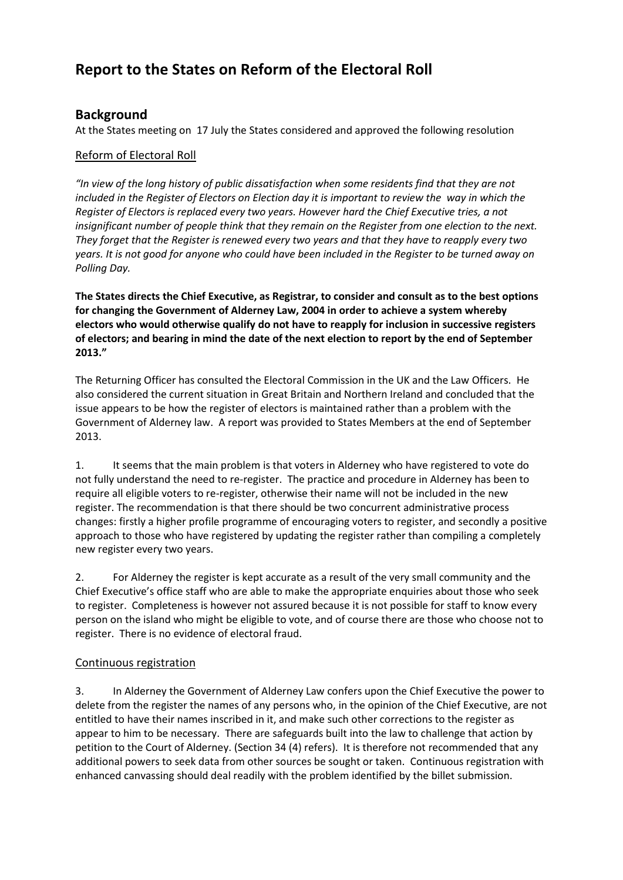# **Report to the States on Reform of the Electoral Roll**

## **Background**

At the States meeting on 17 July the States considered and approved the following resolution

#### Reform of Electoral Roll

*"In view of the long history of public dissatisfaction when some residents find that they are not included in the Register of Electors on Election day it is important to review the way in which the Register of Electors is replaced every two years. However hard the Chief Executive tries, a not insignificant number of people think that they remain on the Register from one election to the next. They forget that the Register is renewed every two years and that they have to reapply every two years. It is not good for anyone who could have been included in the Register to be turned away on Polling Day.* 

**The States directs the Chief Executive, as Registrar, to consider and consult as to the best options for changing the Government of Alderney Law, 2004 in order to achieve a system whereby electors who would otherwise qualify do not have to reapply for inclusion in successive registers of electors; and bearing in mind the date of the next election to report by the end of September 2013."**

The Returning Officer has consulted the Electoral Commission in the UK and the Law Officers. He also considered the current situation in Great Britain and Northern Ireland and concluded that the issue appears to be how the register of electors is maintained rather than a problem with the Government of Alderney law. A report was provided to States Members at the end of September 2013.

1. It seems that the main problem is that voters in Alderney who have registered to vote do not fully understand the need to re-register. The practice and procedure in Alderney has been to require all eligible voters to re-register, otherwise their name will not be included in the new register. The recommendation is that there should be two concurrent administrative process changes: firstly a higher profile programme of encouraging voters to register, and secondly a positive approach to those who have registered by updating the register rather than compiling a completely new register every two years.

2. For Alderney the register is kept accurate as a result of the very small community and the Chief Executive's office staff who are able to make the appropriate enquiries about those who seek to register. Completeness is however not assured because it is not possible for staff to know every person on the island who might be eligible to vote, and of course there are those who choose not to register. There is no evidence of electoral fraud.

### Continuous registration

3. In Alderney the Government of Alderney Law confers upon the Chief Executive the power to delete from the register the names of any persons who, in the opinion of the Chief Executive, are not entitled to have their names inscribed in it, and make such other corrections to the register as appear to him to be necessary. There are safeguards built into the law to challenge that action by petition to the Court of Alderney. (Section 34 (4) refers). It is therefore not recommended that any additional powers to seek data from other sources be sought or taken. Continuous registration with enhanced canvassing should deal readily with the problem identified by the billet submission.